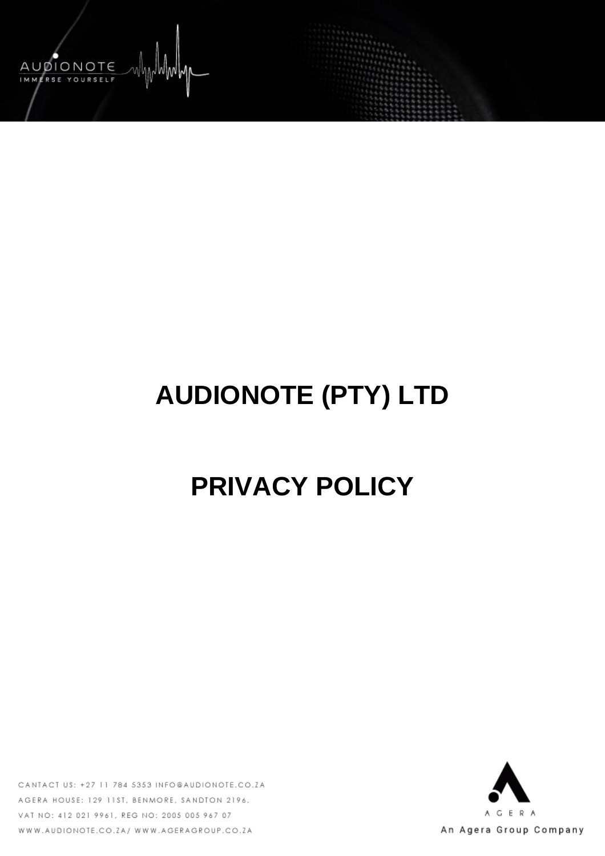

# **AUDIONOTE (PTY) LTD**

# **PRIVACY POLICY**

CANTACT US: +27 11 784 5353 INFO@AUDIONOTE.CO.ZA AGERA HOUSE: 129 11ST, BENMORE, SANDTON 2196. VAT NO: 412 021 9961, REG NO: 2005 005 967 07 WWW.AUDIONOTE.CO.ZA/ WWW.AGERAGROUP.CO.ZA

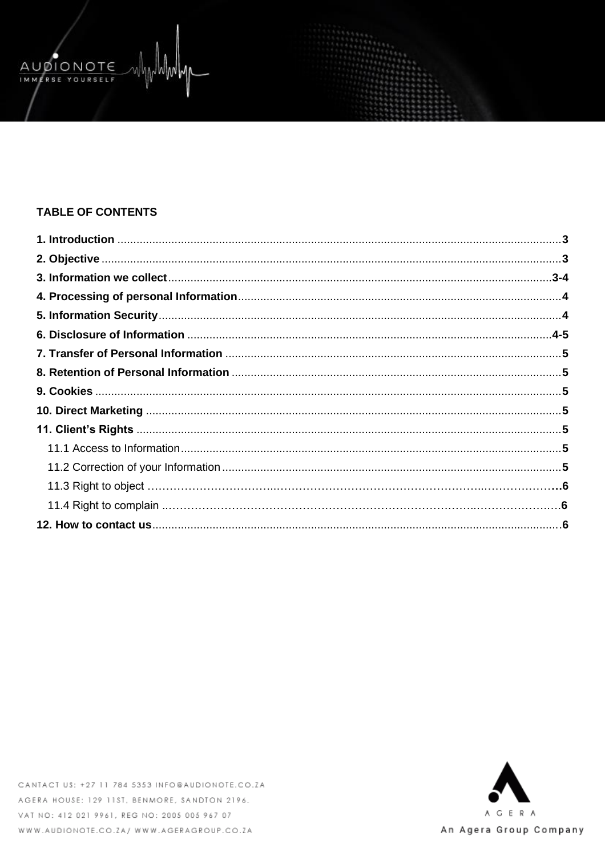# **TABLE OF CONTENTS**

AUDIONOTE IMMERSE YOURSELF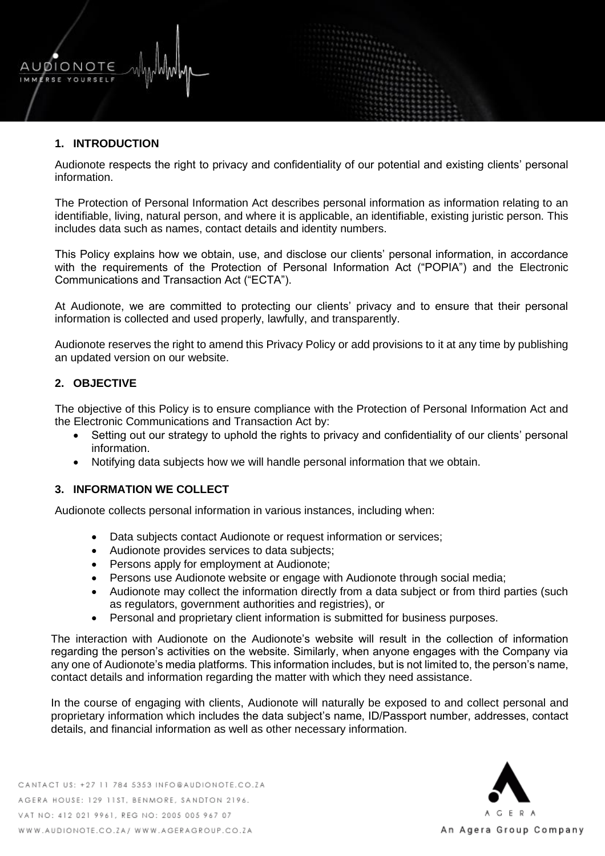# **1. INTRODUCTION**

AUDIONOTE ERSE YOURSELF

> Audionote respects the right to privacy and confidentiality of our potential and existing clients' personal information.

> The Protection of Personal Information Act describes personal information as information relating to an identifiable, living, natural person, and where it is applicable, an identifiable, existing juristic person. This includes data such as names, contact details and identity numbers.

> This Policy explains how we obtain, use, and disclose our clients' personal information, in accordance with the requirements of the Protection of Personal Information Act ("POPIA") and the Electronic Communications and Transaction Act ("ECTA").

> At Audionote, we are committed to protecting our clients' privacy and to ensure that their personal information is collected and used properly, lawfully, and transparently.

> Audionote reserves the right to amend this Privacy Policy or add provisions to it at any time by publishing an updated version on our website.

#### **2. OBJECTIVE**

The objective of this Policy is to ensure compliance with the Protection of Personal Information Act and the Electronic Communications and Transaction Act by:

- Setting out our strategy to uphold the rights to privacy and confidentiality of our clients' personal information.
- Notifying data subjects how we will handle personal information that we obtain.

## **3. INFORMATION WE COLLECT**

Audionote collects personal information in various instances, including when:

- Data subjects contact Audionote or request information or services;
- Audionote provides services to data subjects;
- Persons apply for employment at Audionote;
- Persons use Audionote website or engage with Audionote through social media;
- Audionote may collect the information directly from a data subject or from third parties (such as regulators, government authorities and registries), or
- Personal and proprietary client information is submitted for business purposes.

The interaction with Audionote on the Audionote's website will result in the collection of information regarding the person's activities on the website. Similarly, when anyone engages with the Company via any one of Audionote's media platforms. This information includes, but is not limited to, the person's name, contact details and information regarding the matter with which they need assistance.

In the course of engaging with clients, Audionote will naturally be exposed to and collect personal and proprietary information which includes the data subject's name, ID/Passport number, addresses, contact details, and financial information as well as other necessary information.

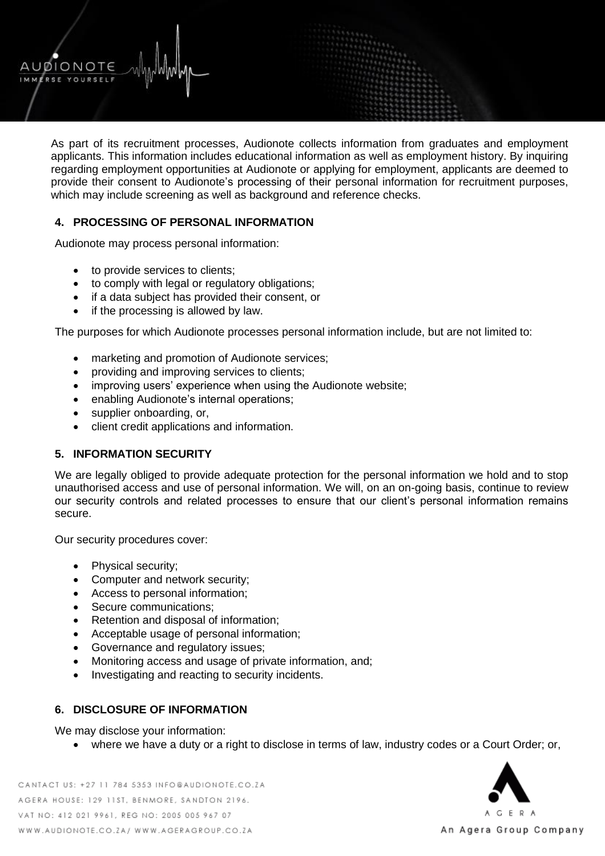As part of its recruitment processes, Audionote collects information from graduates and employment applicants. This information includes educational information as well as employment history. By inquiring regarding employment opportunities at Audionote or applying for employment, applicants are deemed to provide their consent to Audionote's processing of their personal information for recruitment purposes, which may include screening as well as background and reference checks.

# **4. PROCESSING OF PERSONAL INFORMATION**

Audionote may process personal information:

• to provide services to clients;

UØIONOTE RSE YOURSELF

- to comply with legal or regulatory obligations;
- if a data subject has provided their consent, or
- if the processing is allowed by law.

The purposes for which Audionote processes personal information include, but are not limited to:

- marketing and promotion of Audionote services;
- providing and improving services to clients;
- improving users' experience when using the Audionote website;
- enabling Audionote's internal operations;
- supplier onboarding, or,
- client credit applications and information.

#### **5. INFORMATION SECURITY**

We are legally obliged to provide adequate protection for the personal information we hold and to stop unauthorised access and use of personal information. We will, on an on-going basis, continue to review our security controls and related processes to ensure that our client's personal information remains secure.

Our security procedures cover:

- Physical security;
- Computer and network security;
- Access to personal information;
- Secure communications;
- Retention and disposal of information;
- Acceptable usage of personal information;
- Governance and regulatory issues;
- Monitoring access and usage of private information, and;
- Investigating and reacting to security incidents.

#### **6. DISCLOSURE OF INFORMATION**

We may disclose your information:

• where we have a duty or a right to disclose in terms of law, industry codes or a Court Order; or,

CANTACT US: +27 11 784 5353 INFO@AUDIONOTE.CO.ZA AGERA HOUSE: 129 11ST, BENMORE, SANDTON 2196. VAT NO: 412 021 9961, REG NO: 2005 005 967 07 WWW.AUDIONOTE.CO.ZA/ WWW.AGERAGROUP.CO.ZA

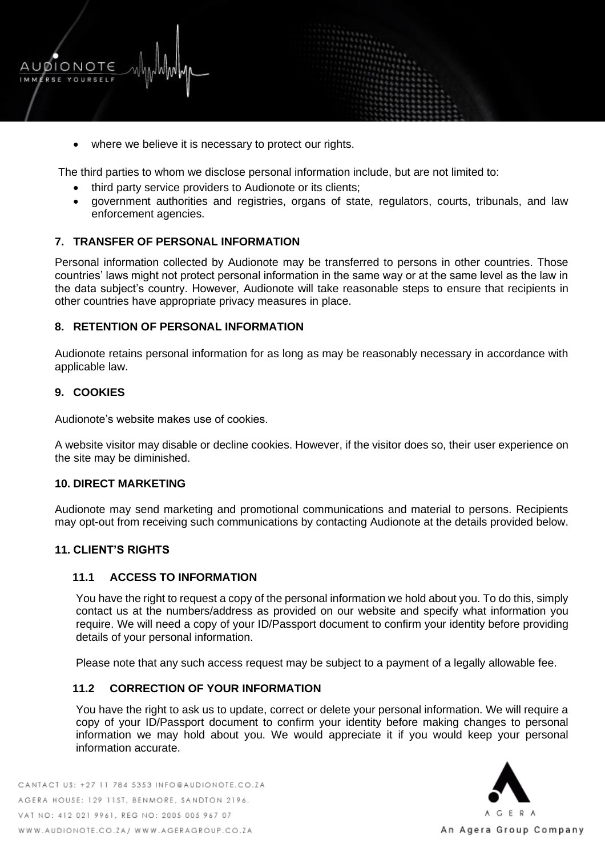

• where we believe it is necessary to protect our rights.

The third parties to whom we disclose personal information include, but are not limited to:

- third party service providers to Audionote or its clients;
- government authorities and registries, organs of state, regulators, courts, tribunals, and law enforcement agencies.

#### **7. TRANSFER OF PERSONAL INFORMATION**

Personal information collected by Audionote may be transferred to persons in other countries. Those countries' laws might not protect personal information in the same way or at the same level as the law in the data subject's country. However, Audionote will take reasonable steps to ensure that recipients in other countries have appropriate privacy measures in place.

#### **8. RETENTION OF PERSONAL INFORMATION**

Audionote retains personal information for as long as may be reasonably necessary in accordance with applicable law.

#### **9. COOKIES**

Audionote's website makes use of cookies.

A website visitor may disable or decline cookies. However, if the visitor does so, their user experience on the site may be diminished.

#### **10. DIRECT MARKETING**

Audionote may send marketing and promotional communications and material to persons. Recipients may opt-out from receiving such communications by contacting Audionote at the details provided below.

#### **11. CLIENT'S RIGHTS**

#### **11.1 ACCESS TO INFORMATION**

You have the right to request a copy of the personal information we hold about you. To do this, simply contact us at the numbers/address as provided on our website and specify what information you require. We will need a copy of your ID/Passport document to confirm your identity before providing details of your personal information.

Please note that any such access request may be subject to a payment of a legally allowable fee.

#### **11.2 CORRECTION OF YOUR INFORMATION**

You have the right to ask us to update, correct or delete your personal information. We will require a copy of your ID/Passport document to confirm your identity before making changes to personal information we may hold about you. We would appreciate it if you would keep your personal information accurate.